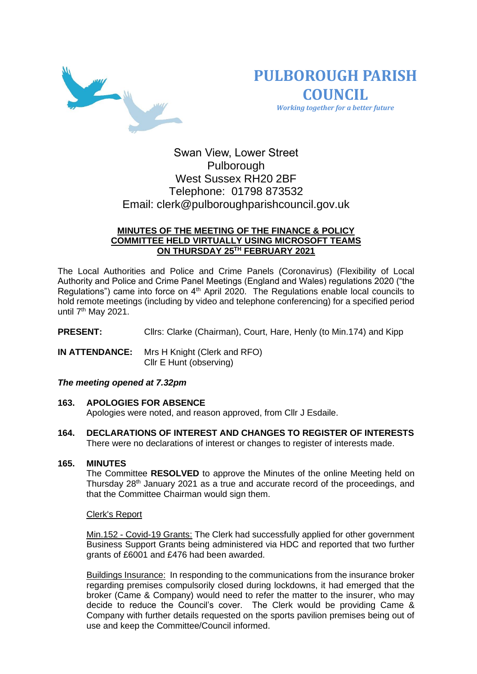

**PULBOROUGH PARISH COUNCIL** *Working together for a better future*

# Swan View, Lower Street Pulborough West Sussex RH20 2BF Telephone: 01798 873532 Email: [clerk@pulboroughparishcouncil.gov.uk](mailto:clerk@pulboroughparishcouncil.gov.uk)

# **MINUTES OF THE MEETING OF THE FINANCE & POLICY COMMITTEE HELD VIRTUALLY USING MICROSOFT TEAMS ON THURSDAY 25 TH FEBRUARY 2021**

The Local Authorities and Police and Crime Panels (Coronavirus) (Flexibility of Local Authority and Police and Crime Panel Meetings (England and Wales) regulations 2020 ("the Regulations") came into force on 4<sup>th</sup> April 2020. The Regulations enable local councils to hold remote meetings (including by video and telephone conferencing) for a specified period until 7<sup>th</sup> May 2021.

**PRESENT:** Clirs: Clarke (Chairman), Court, Hare, Henly (to Min.174) and Kipp

**IN ATTENDANCE:** Mrs H Knight (Clerk and RFO) Cllr E Hunt (observing)

# *The meeting opened at 7.32pm*

#### **163. APOLOGIES FOR ABSENCE**

Apologies were noted, and reason approved, from Cllr J Esdaile.

**164. DECLARATIONS OF INTEREST AND CHANGES TO REGISTER OF INTERESTS** There were no declarations of interest or changes to register of interests made.

#### **165. MINUTES**

The Committee **RESOLVED** to approve the Minutes of the online Meeting held on Thursday 28th January 2021 as a true and accurate record of the proceedings, and that the Committee Chairman would sign them.

#### Clerk's Report

Min.152 - Covid-19 Grants: The Clerk had successfully applied for other government Business Support Grants being administered via HDC and reported that two further grants of £6001 and £476 had been awarded.

Buildings Insurance: In responding to the communications from the insurance broker regarding premises compulsorily closed during lockdowns, it had emerged that the broker (Came & Company) would need to refer the matter to the insurer, who may decide to reduce the Council's cover. The Clerk would be providing Came & Company with further details requested on the sports pavilion premises being out of use and keep the Committee/Council informed.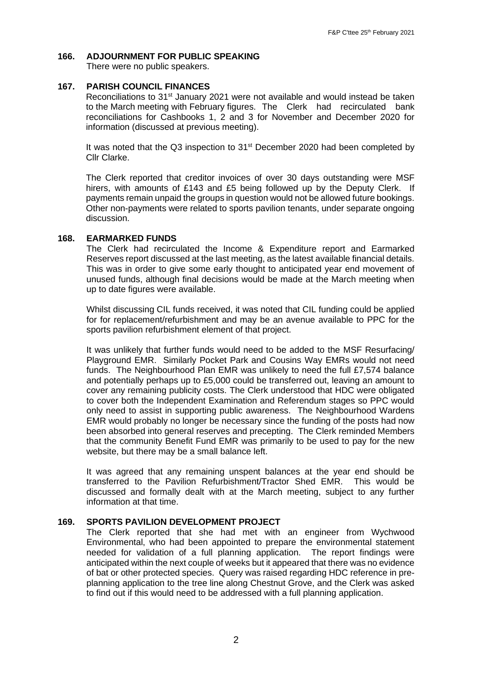# **166. ADJOURNMENT FOR PUBLIC SPEAKING**

There were no public speakers.

### **167. PARISH COUNCIL FINANCES**

Reconciliations to 31<sup>st</sup> January 2021 were not available and would instead be taken to the March meeting with February figures. The Clerk had recirculated bank reconciliations for Cashbooks 1, 2 and 3 for November and December 2020 for information (discussed at previous meeting).

It was noted that the Q3 inspection to 31<sup>st</sup> December 2020 had been completed by Cllr Clarke.

The Clerk reported that creditor invoices of over 30 days outstanding were MSF hirers, with amounts of £143 and £5 being followed up by the Deputy Clerk. If payments remain unpaid the groups in question would not be allowed future bookings. Other non-payments were related to sports pavilion tenants, under separate ongoing discussion.

## **168. EARMARKED FUNDS**

The Clerk had recirculated the Income & Expenditure report and Earmarked Reserves report discussed at the last meeting, as the latest available financial details. This was in order to give some early thought to anticipated year end movement of unused funds, although final decisions would be made at the March meeting when up to date figures were available.

Whilst discussing CIL funds received, it was noted that CIL funding could be applied for for replacement/refurbishment and may be an avenue available to PPC for the sports pavilion refurbishment element of that project.

It was unlikely that further funds would need to be added to the MSF Resurfacing/ Playground EMR. Similarly Pocket Park and Cousins Way EMRs would not need funds. The Neighbourhood Plan EMR was unlikely to need the full £7,574 balance and potentially perhaps up to £5,000 could be transferred out, leaving an amount to cover any remaining publicity costs. The Clerk understood that HDC were obligated to cover both the Independent Examination and Referendum stages so PPC would only need to assist in supporting public awareness. The Neighbourhood Wardens EMR would probably no longer be necessary since the funding of the posts had now been absorbed into general reserves and precepting. The Clerk reminded Members that the community Benefit Fund EMR was primarily to be used to pay for the new website, but there may be a small balance left.

It was agreed that any remaining unspent balances at the year end should be transferred to the Pavilion Refurbishment/Tractor Shed EMR. This would be discussed and formally dealt with at the March meeting, subject to any further information at that time.

# **169. SPORTS PAVILION DEVELOPMENT PROJECT**

The Clerk reported that she had met with an engineer from Wychwood Environmental, who had been appointed to prepare the environmental statement needed for validation of a full planning application. The report findings were anticipated within the next couple of weeks but it appeared that there was no evidence of bat or other protected species. Query was raised regarding HDC reference in preplanning application to the tree line along Chestnut Grove, and the Clerk was asked to find out if this would need to be addressed with a full planning application.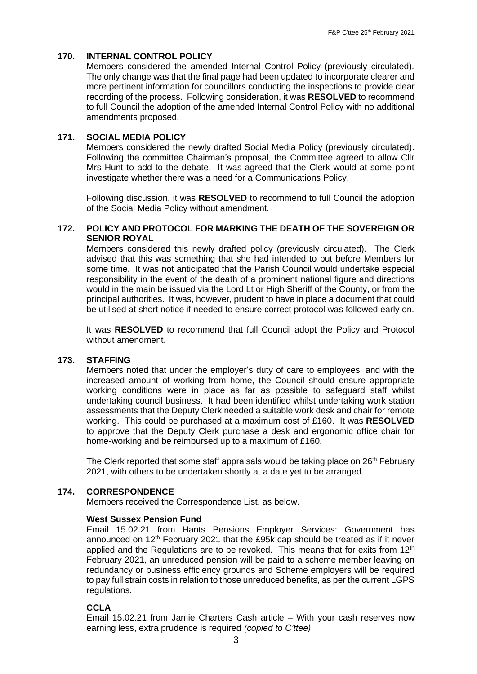# **170. INTERNAL CONTROL POLICY**

Members considered the amended Internal Control Policy (previously circulated). The only change was that the final page had been updated to incorporate clearer and more pertinent information for councillors conducting the inspections to provide clear recording of the process. Following consideration, it was **RESOLVED** to recommend to full Council the adoption of the amended Internal Control Policy with no additional amendments proposed.

## **171. SOCIAL MEDIA POLICY**

Members considered the newly drafted Social Media Policy (previously circulated). Following the committee Chairman's proposal, the Committee agreed to allow Cllr Mrs Hunt to add to the debate. It was agreed that the Clerk would at some point investigate whether there was a need for a Communications Policy.

Following discussion, it was **RESOLVED** to recommend to full Council the adoption of the Social Media Policy without amendment.

## **172. POLICY AND PROTOCOL FOR MARKING THE DEATH OF THE SOVEREIGN OR SENIOR ROYAL**

Members considered this newly drafted policy (previously circulated). The Clerk advised that this was something that she had intended to put before Members for some time. It was not anticipated that the Parish Council would undertake especial responsibility in the event of the death of a prominent national figure and directions would in the main be issued via the Lord Lt or High Sheriff of the County, or from the principal authorities. It was, however, prudent to have in place a document that could be utilised at short notice if needed to ensure correct protocol was followed early on.

It was **RESOLVED** to recommend that full Council adopt the Policy and Protocol without amendment.

#### **173. STAFFING**

Members noted that under the employer's duty of care to employees, and with the increased amount of working from home, the Council should ensure appropriate working conditions were in place as far as possible to safeguard staff whilst undertaking council business. It had been identified whilst undertaking work station assessments that the Deputy Clerk needed a suitable work desk and chair for remote working. This could be purchased at a maximum cost of £160. It was **RESOLVED** to approve that the Deputy Clerk purchase a desk and ergonomic office chair for home-working and be reimbursed up to a maximum of £160.

The Clerk reported that some staff appraisals would be taking place on  $26<sup>th</sup>$  February 2021, with others to be undertaken shortly at a date yet to be arranged.

#### **174. CORRESPONDENCE**

Members received the Correspondence List, as below.

#### **West Sussex Pension Fund**

Email 15.02.21 from Hants Pensions Employer Services: Government has announced on  $12<sup>th</sup>$  February 2021 that the £95k cap should be treated as if it never applied and the Regulations are to be revoked. This means that for exits from  $12<sup>th</sup>$ February 2021, an unreduced pension will be paid to a scheme member leaving on redundancy or business efficiency grounds and Scheme employers will be required to pay full strain costs in relation to those unreduced benefits, as per the current LGPS regulations.

### **CCLA**

Email 15.02.21 from Jamie Charters Cash article – With your cash reserves now earning less, extra prudence is required *(copied to C'ttee)*